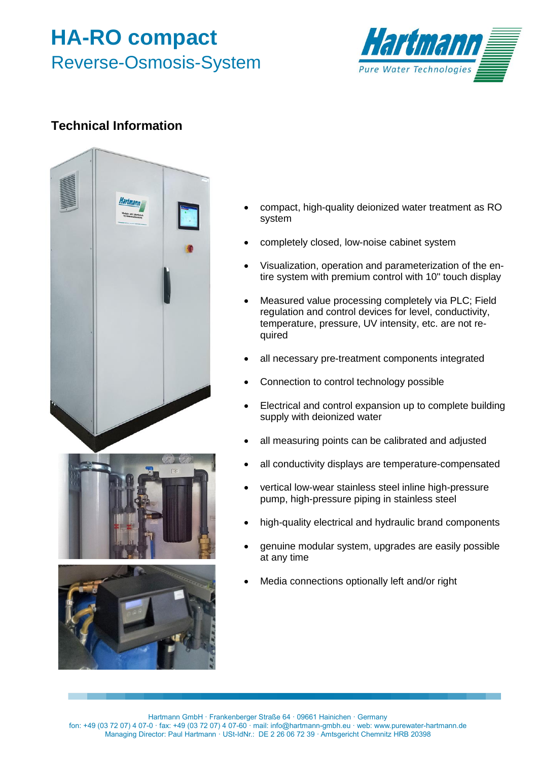## **HA-RO compact** Reverse-Osmosis-System



## **Technical Information**



- compact, high-quality deionized water treatment as RO system
- completely closed, low-noise cabinet system
- Visualization, operation and parameterization of the entire system with premium control with 10" touch display
- Measured value processing completely via PLC; Field regulation and control devices for level, conductivity, temperature, pressure, UV intensity, etc. are not required
- all necessary pre-treatment components integrated
- Connection to control technology possible
- Electrical and control expansion up to complete building supply with deionized water
- all measuring points can be calibrated and adjusted
- all conductivity displays are temperature-compensated
- vertical low-wear stainless steel inline high-pressure pump, high-pressure piping in stainless steel
- high-quality electrical and hydraulic brand components
- genuine modular system, upgrades are easily possible at any time
- Media connections optionally left and/or right